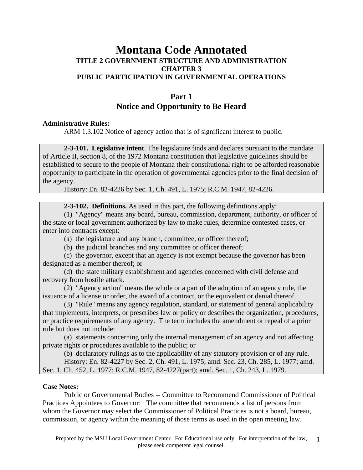# **Montana Code Annotated TITLE 2 GOVERNMENT STRUCTURE AND ADMINISTRATION CHAPTER 3 PUBLIC PARTICIPATION IN GOVERNMENTAL OPERATIONS**

# **Part 1 Notice and Opportunity to Be Heard**

### **Administrative Rules:**

ARM 1.3.102 Notice of agency action that is of significant interest to public.

**2-3-101. Legislative intent**. The legislature finds and declares pursuant to the mandate of Article II, section 8, of the 1972 Montana constitution that legislative guidelines should be established to secure to the people of Montana their constitutional right to be afforded reasonable opportunity to participate in the operation of governmental agencies prior to the final decision of the agency.

History: En. 82-4226 by Sec. 1, Ch. 491, L. 1975; R.C.M. 1947, 82-4226.

**2-3-102. Definitions.** As used in this part, the following definitions apply:

 (1) "Agency" means any board, bureau, commission, department, authority, or officer of the state or local government authorized by law to make rules, determine contested cases, or enter into contracts except:

(a) the legislature and any branch, committee, or officer thereof;

(b) the judicial branches and any committee or officer thereof;

 (c) the governor, except that an agency is not exempt because the governor has been designated as a member thereof; or

 (d) the state military establishment and agencies concerned with civil defense and recovery from hostile attack.

 (2) "Agency action" means the whole or a part of the adoption of an agency rule, the issuance of a license or order, the award of a contract, or the equivalent or denial thereof.

 (3) "Rule" means any agency regulation, standard, or statement of general applicability that implements, interprets, or prescribes law or policy or describes the organization, procedures, or practice requirements of any agency. The term includes the amendment or repeal of a prior rule but does not include:

 (a) statements concerning only the internal management of an agency and not affecting private rights or procedures available to the public; or

(b) declaratory rulings as to the applicability of any statutory provision or of any rule.

 History: En. 82-4227 by Sec. 2, Ch. 491, L. 1975; amd. Sec. 23, Ch. 285, L. 1977; amd. Sec. 1, Ch. 452, L. 1977; R.C.M. 1947, 82-4227(part); amd. Sec. 1, Ch. 243, L. 1979.

# **Case Notes:**

 Public or Governmental Bodies -- Committee to Recommend Commissioner of Political Practices Appointees to Governor: The committee that recommends a list of persons from whom the Governor may select the Commissioner of Political Practices is not a board, bureau, commission, or agency within the meaning of those terms as used in the open meeting law.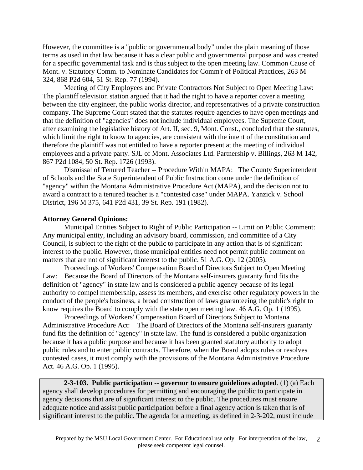However, the committee is a "public or governmental body" under the plain meaning of those terms as used in that law because it has a clear public and governmental purpose and was created for a specific governmental task and is thus subject to the open meeting law. Common Cause of Mont. v. Statutory Comm. to Nominate Candidates for Comm'r of Political Practices, 263 M 324, 868 P2d 604, 51 St. Rep. 77 (1994).

 Meeting of City Employees and Private Contractors Not Subject to Open Meeting Law: The plaintiff television station argued that it had the right to have a reporter cover a meeting between the city engineer, the public works director, and representatives of a private construction company. The Supreme Court stated that the statutes require agencies to have open meetings and that the definition of "agencies" does not include individual employees. The Supreme Court, after examining the legislative history of Art. II, sec. 9, Mont. Const., concluded that the statutes, which limit the right to know to agencies, are consistent with the intent of the constitution and therefore the plaintiff was not entitled to have a reporter present at the meeting of individual employees and a private party. SJL of Mont. Associates Ltd. Partnership v. Billings, 263 M 142, 867 P2d 1084, 50 St. Rep. 1726 (1993).

 Dismissal of Tenured Teacher -- Procedure Within MAPA: The County Superintendent of Schools and the State Superintendent of Public Instruction come under the definition of "agency" within the Montana Administrative Procedure Act (MAPA), and the decision not to award a contract to a tenured teacher is a "contested case" under MAPA. Yanzick v. School District, 196 M 375, 641 P2d 431, 39 St. Rep. 191 (1982).

### **Attorney General Opinions:**

 Municipal Entities Subject to Right of Public Participation -- Limit on Public Comment: Any municipal entity, including an advisory board, commission, and committee of a City Council, is subject to the right of the public to participate in any action that is of significant interest to the public. However, those municipal entities need not permit public comment on matters that are not of significant interest to the public. 51 A.G. Op. 12 (2005).

 Proceedings of Workers' Compensation Board of Directors Subject to Open Meeting Law: Because the Board of Directors of the Montana self-insurers guaranty fund fits the definition of "agency" in state law and is considered a public agency because of its legal authority to compel membership, assess its members, and exercise other regulatory powers in the conduct of the people's business, a broad construction of laws guaranteeing the public's right to know requires the Board to comply with the state open meeting law. 46 A.G. Op. 1 (1995).

 Proceedings of Workers' Compensation Board of Directors Subject to Montana Administrative Procedure Act: The Board of Directors of the Montana self-insurers guaranty fund fits the definition of "agency" in state law. The fund is considered a public organization because it has a public purpose and because it has been granted statutory authority to adopt public rules and to enter public contracts. Therefore, when the Board adopts rules or resolves contested cases, it must comply with the provisions of the Montana Administrative Procedure Act. 46 A.G. Op. 1 (1995).

**2-3-103. Public participation -- governor to ensure guidelines adopted**. (1) (a) Each agency shall develop procedures for permitting and encouraging the public to participate in agency decisions that are of significant interest to the public. The procedures must ensure adequate notice and assist public participation before a final agency action is taken that is of significant interest to the public. The agenda for a meeting, as defined in 2-3-202, must include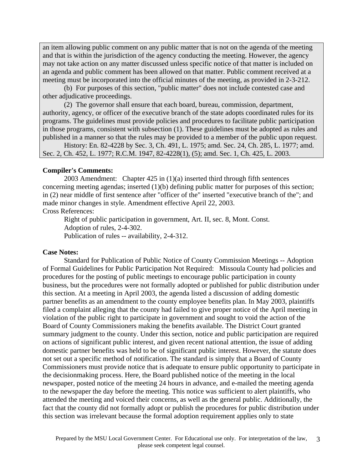an item allowing public comment on any public matter that is not on the agenda of the meeting and that is within the jurisdiction of the agency conducting the meeting. However, the agency may not take action on any matter discussed unless specific notice of that matter is included on an agenda and public comment has been allowed on that matter. Public comment received at a meeting must be incorporated into the official minutes of the meeting, as provided in 2-3-212.

 (b) For purposes of this section, "public matter" does not include contested case and other adjudicative proceedings.

 (2) The governor shall ensure that each board, bureau, commission, department, authority, agency, or officer of the executive branch of the state adopts coordinated rules for its programs. The guidelines must provide policies and procedures to facilitate public participation in those programs, consistent with subsection (1). These guidelines must be adopted as rules and published in a manner so that the rules may be provided to a member of the public upon request.

 History: En. 82-4228 by Sec. 3, Ch. 491, L. 1975; amd. Sec. 24, Ch. 285, L. 1977; amd. Sec. 2, Ch. 452, L. 1977; R.C.M. 1947, 82-4228(1), (5); amd. Sec. 1, Ch. 425, L. 2003.

#### **Compiler's Comments:**

 2003 Amendment: Chapter 425 in (1)(a) inserted third through fifth sentences concerning meeting agendas; inserted (1)(b) defining public matter for purposes of this section; in (2) near middle of first sentence after "officer of the" inserted "executive branch of the"; and made minor changes in style. Amendment effective April 22, 2003. Cross References:

 Right of public participation in government, Art. II, sec. 8, Mont. Const. Adoption of rules, 2-4-302. Publication of rules -- availability, 2-4-312.

#### **Case Notes:**

 Standard for Publication of Public Notice of County Commission Meetings -- Adoption of Formal Guidelines for Public Participation Not Required: Missoula County had policies and procedures for the posting of public meetings to encourage public participation in county business, but the procedures were not formally adopted or published for public distribution under this section. At a meeting in April 2003, the agenda listed a discussion of adding domestic partner benefits as an amendment to the county employee benefits plan. In May 2003, plaintiffs filed a complaint alleging that the county had failed to give proper notice of the April meeting in violation of the public right to participate in government and sought to void the action of the Board of County Commissioners making the benefits available. The District Court granted summary judgment to the county. Under this section, notice and public participation are required on actions of significant public interest, and given recent national attention, the issue of adding domestic partner benefits was held to be of significant public interest. However, the statute does not set out a specific method of notification. The standard is simply that a Board of County Commissioners must provide notice that is adequate to ensure public opportunity to participate in the decisionmaking process. Here, the Board published notice of the meeting in the local newspaper, posted notice of the meeting 24 hours in advance, and e-mailed the meeting agenda to the newspaper the day before the meeting. This notice was sufficient to alert plaintiffs, who attended the meeting and voiced their concerns, as well as the general public. Additionally, the fact that the county did not formally adopt or publish the procedures for public distribution under this section was irrelevant because the formal adoption requirement applies only to state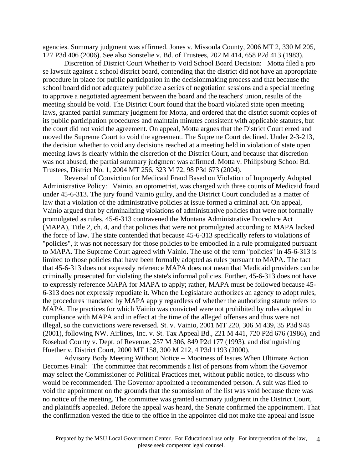agencies. Summary judgment was affirmed. Jones v. Missoula County, 2006 MT 2, 330 M 205, 127 P3d 406 (2006). See also Sonstelie v. Bd. of Trustees, 202 M 414, 658 P2d 413 (1983).

 Discretion of District Court Whether to Void School Board Decision: Motta filed a pro se lawsuit against a school district board, contending that the district did not have an appropriate procedure in place for public participation in the decisionmaking process and that because the school board did not adequately publicize a series of negotiation sessions and a special meeting to approve a negotiated agreement between the board and the teachers' union, results of the meeting should be void. The District Court found that the board violated state open meeting laws, granted partial summary judgment for Motta, and ordered that the district submit copies of its public participation procedures and maintain minutes consistent with applicable statutes, but the court did not void the agreement. On appeal, Motta argues that the District Court erred and moved the Supreme Court to void the agreement. The Supreme Court declined. Under 2-3-213, the decision whether to void any decisions reached at a meeting held in violation of state open meeting laws is clearly within the discretion of the District Court, and because that discretion was not abused, the partial summary judgment was affirmed. Motta v. Philipsburg School Bd. Trustees, District No. 1, 2004 MT 256, 323 M 72, 98 P3d 673 (2004).

 Reversal of Conviction for Medicaid Fraud Based on Violation of Improperly Adopted Administrative Policy: Vainio, an optometrist, was charged with three counts of Medicaid fraud under 45-6-313. The jury found Vainio guilty, and the District Court concluded as a matter of law that a violation of the administrative policies at issue formed a criminal act. On appeal, Vainio argued that by criminalizing violations of administrative policies that were not formally promulgated as rules, 45-6-313 contravened the Montana Administrative Procedure Act (MAPA), Title 2, ch. 4, and that policies that were not promulgated according to MAPA lacked the force of law. The state contended that because 45-6-313 specifically refers to violations of "policies", it was not necessary for those policies to be embodied in a rule promulgated pursuant to MAPA. The Supreme Court agreed with Vainio. The use of the term "policies" in 45-6-313 is limited to those policies that have been formally adopted as rules pursuant to MAPA. The fact that 45-6-313 does not expressly reference MAPA does not mean that Medicaid providers can be criminally prosecuted for violating the state's informal policies. Further, 45-6-313 does not have to expressly reference MAPA for MAPA to apply; rather, MAPA must be followed because 45- 6-313 does not expressly repudiate it. When the Legislature authorizes an agency to adopt rules, the procedures mandated by MAPA apply regardless of whether the authorizing statute refers to MAPA. The practices for which Vainio was convicted were not prohibited by rules adopted in compliance with MAPA and in effect at the time of the alleged offenses and thus were not illegal, so the convictions were reversed. St. v. Vainio, 2001 MT 220, 306 M 439, 35 P3d 948 (2001), following NW. Airlines, Inc. v. St. Tax Appeal Bd., 221 M 441, 720 P2d 676 (1986), and Rosebud County v. Dept. of Revenue, 257 M 306, 849 P2d 177 (1993), and distinguishing Huether v. District Court, 2000 MT 158, 300 M 212, 4 P3d 1193 (2000).

 Advisory Body Meeting Without Notice -- Mootness of Issues When Ultimate Action Becomes Final: The committee that recommends a list of persons from whom the Governor may select the Commissioner of Political Practices met, without public notice, to discuss who would be recommended. The Governor appointed a recommended person. A suit was filed to void the appointment on the grounds that the submission of the list was void because there was no notice of the meeting. The committee was granted summary judgment in the District Court, and plaintiffs appealed. Before the appeal was heard, the Senate confirmed the appointment. That the confirmation vested the title to the office in the appointee did not make the appeal and issue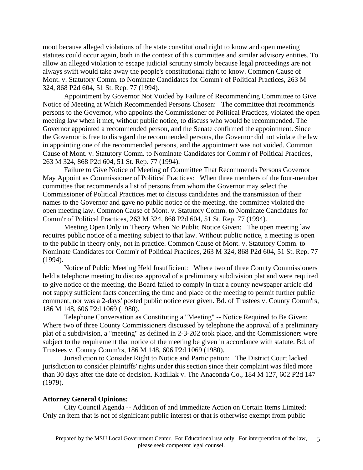moot because alleged violations of the state constitutional right to know and open meeting statutes could occur again, both in the context of this committee and similar advisory entities. To allow an alleged violation to escape judicial scrutiny simply because legal proceedings are not always swift would take away the people's constitutional right to know. Common Cause of Mont. v. Statutory Comm. to Nominate Candidates for Comm'r of Political Practices, 263 M 324, 868 P2d 604, 51 St. Rep. 77 (1994).

 Appointment by Governor Not Voided by Failure of Recommending Committee to Give Notice of Meeting at Which Recommended Persons Chosen: The committee that recommends persons to the Governor, who appoints the Commissioner of Political Practices, violated the open meeting law when it met, without public notice, to discuss who would be recommended. The Governor appointed a recommended person, and the Senate confirmed the appointment. Since the Governor is free to disregard the recommended persons, the Governor did not violate the law in appointing one of the recommended persons, and the appointment was not voided. Common Cause of Mont. v. Statutory Comm. to Nominate Candidates for Comm'r of Political Practices, 263 M 324, 868 P2d 604, 51 St. Rep. 77 (1994).

 Failure to Give Notice of Meeting of Committee That Recommends Persons Governor May Appoint as Commissioner of Political Practices: When three members of the four-member committee that recommends a list of persons from whom the Governor may select the Commissioner of Political Practices met to discuss candidates and the transmission of their names to the Governor and gave no public notice of the meeting, the committee violated the open meeting law. Common Cause of Mont. v. Statutory Comm. to Nominate Candidates for Comm'r of Political Practices, 263 M 324, 868 P2d 604, 51 St. Rep. 77 (1994).

 Meeting Open Only in Theory When No Public Notice Given: The open meeting law requires public notice of a meeting subject to that law. Without public notice, a meeting is open to the public in theory only, not in practice. Common Cause of Mont. v. Statutory Comm. to Nominate Candidates for Comm'r of Political Practices, 263 M 324, 868 P2d 604, 51 St. Rep. 77 (1994).

 Notice of Public Meeting Held Insufficient: Where two of three County Commissioners held a telephone meeting to discuss approval of a preliminary subdivision plat and were required to give notice of the meeting, the Board failed to comply in that a county newspaper article did not supply sufficient facts concerning the time and place of the meeting to permit further public comment, nor was a 2-days' posted public notice ever given. Bd. of Trustees v. County Comm'rs, 186 M 148, 606 P2d 1069 (1980).

 Telephone Conversation as Constituting a "Meeting" -- Notice Required to Be Given: Where two of three County Commissioners discussed by telephone the approval of a preliminary plat of a subdivision, a "meeting" as defined in 2-3-202 took place, and the Commissioners were subject to the requirement that notice of the meeting be given in accordance with statute. Bd. of Trustees v. County Comm'rs, 186 M 148, 606 P2d 1069 (1980).

 Jurisdiction to Consider Right to Notice and Participation: The District Court lacked jurisdiction to consider plaintiffs' rights under this section since their complaint was filed more than 30 days after the date of decision. Kadillak v. The Anaconda Co., 184 M 127, 602 P2d 147 (1979).

#### **Attorney General Opinions:**

 City Council Agenda -- Addition of and Immediate Action on Certain Items Limited: Only an item that is not of significant public interest or that is otherwise exempt from public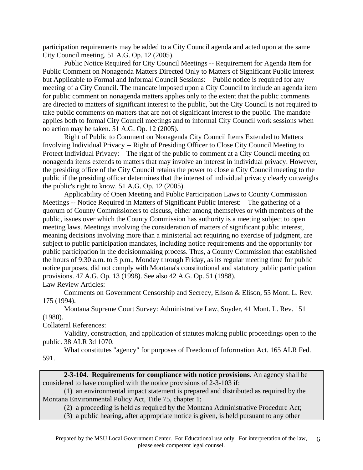participation requirements may be added to a City Council agenda and acted upon at the same City Council meeting. 51 A.G. Op. 12 (2005).

 Public Notice Required for City Council Meetings -- Requirement for Agenda Item for Public Comment on Nonagenda Matters Directed Only to Matters of Significant Public Interest but Applicable to Formal and Informal Council Sessions: Public notice is required for any meeting of a City Council. The mandate imposed upon a City Council to include an agenda item for public comment on nonagenda matters applies only to the extent that the public comments are directed to matters of significant interest to the public, but the City Council is not required to take public comments on matters that are not of significant interest to the public. The mandate applies both to formal City Council meetings and to informal City Council work sessions when no action may be taken. 51 A.G. Op. 12 (2005).

 Right of Public to Comment on Nonagenda City Council Items Extended to Matters Involving Individual Privacy -- Right of Presiding Officer to Close City Council Meeting to Protect Individual Privacy: The right of the public to comment at a City Council meeting on nonagenda items extends to matters that may involve an interest in individual privacy. However, the presiding office of the City Council retains the power to close a City Council meeting to the public if the presiding officer determines that the interest of individual privacy clearly outweighs the public's right to know. 51 A.G. Op. 12 (2005).

 Applicability of Open Meeting and Public Participation Laws to County Commission Meetings -- Notice Required in Matters of Significant Public Interest: The gathering of a quorum of County Commissioners to discuss, either among themselves or with members of the public, issues over which the County Commission has authority is a meeting subject to open meeting laws. Meetings involving the consideration of matters of significant public interest, meaning decisions involving more than a ministerial act requiring no exercise of judgment, are subject to public participation mandates, including notice requirements and the opportunity for public participation in the decisionmaking process. Thus, a County Commission that established the hours of 9:30 a.m. to 5 p.m., Monday through Friday, as its regular meeting time for public notice purposes, did not comply with Montana's constitutional and statutory public participation provisions. 47 A.G. Op. 13 (1998). See also 42 A.G. Op. 51 (1988). Law Review Articles:

 Comments on Government Censorship and Secrecy, Elison & Elison, 55 Mont. L. Rev. 175 (1994).

 Montana Supreme Court Survey: Administrative Law, Snyder, 41 Mont. L. Rev. 151 (1980).

Collateral References:

 Validity, construction, and application of statutes making public proceedings open to the public. 38 ALR 3d 1070.

 What constitutes "agency" for purposes of Freedom of Information Act. 165 ALR Fed. 591.

**2-3-104. Requirements for compliance with notice provisions.** An agency shall be considered to have complied with the notice provisions of 2-3-103 if:

 (1) an environmental impact statement is prepared and distributed as required by the Montana Environmental Policy Act, Title 75, chapter 1;

(2) a proceeding is held as required by the Montana Administrative Procedure Act;

(3) a public hearing, after appropriate notice is given, is held pursuant to any other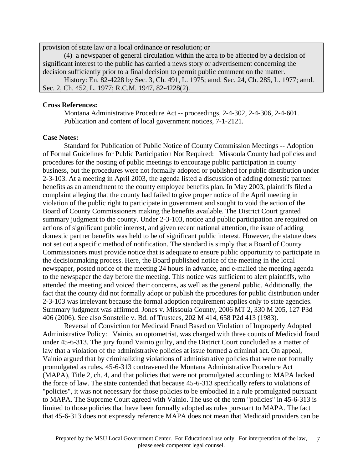provision of state law or a local ordinance or resolution; or

 (4) a newspaper of general circulation within the area to be affected by a decision of significant interest to the public has carried a news story or advertisement concerning the decision sufficiently prior to a final decision to permit public comment on the matter.

 History: En. 82-4228 by Sec. 3, Ch. 491, L. 1975; amd. Sec. 24, Ch. 285, L. 1977; amd. Sec. 2, Ch. 452, L. 1977; R.C.M. 1947, 82-4228(2).

### **Cross References:**

 Montana Administrative Procedure Act -- proceedings, 2-4-302, 2-4-306, 2-4-601. Publication and content of local government notices, 7-1-2121.

#### **Case Notes:**

 Standard for Publication of Public Notice of County Commission Meetings -- Adoption of Formal Guidelines for Public Participation Not Required: Missoula County had policies and procedures for the posting of public meetings to encourage public participation in county business, but the procedures were not formally adopted or published for public distribution under 2-3-103. At a meeting in April 2003, the agenda listed a discussion of adding domestic partner benefits as an amendment to the county employee benefits plan. In May 2003, plaintiffs filed a complaint alleging that the county had failed to give proper notice of the April meeting in violation of the public right to participate in government and sought to void the action of the Board of County Commissioners making the benefits available. The District Court granted summary judgment to the county. Under 2-3-103, notice and public participation are required on actions of significant public interest, and given recent national attention, the issue of adding domestic partner benefits was held to be of significant public interest. However, the statute does not set out a specific method of notification. The standard is simply that a Board of County Commissioners must provide notice that is adequate to ensure public opportunity to participate in the decisionmaking process. Here, the Board published notice of the meeting in the local newspaper, posted notice of the meeting 24 hours in advance, and e-mailed the meeting agenda to the newspaper the day before the meeting. This notice was sufficient to alert plaintiffs, who attended the meeting and voiced their concerns, as well as the general public. Additionally, the fact that the county did not formally adopt or publish the procedures for public distribution under 2-3-103 was irrelevant because the formal adoption requirement applies only to state agencies. Summary judgment was affirmed. Jones v. Missoula County, 2006 MT 2, 330 M 205, 127 P3d 406 (2006). See also Sonstelie v. Bd. of Trustees, 202 M 414, 658 P2d 413 (1983).

 Reversal of Conviction for Medicaid Fraud Based on Violation of Improperly Adopted Administrative Policy: Vainio, an optometrist, was charged with three counts of Medicaid fraud under 45-6-313. The jury found Vainio guilty, and the District Court concluded as a matter of law that a violation of the administrative policies at issue formed a criminal act. On appeal, Vainio argued that by criminalizing violations of administrative policies that were not formally promulgated as rules, 45-6-313 contravened the Montana Administrative Procedure Act (MAPA), Title 2, ch. 4, and that policies that were not promulgated according to MAPA lacked the force of law. The state contended that because 45-6-313 specifically refers to violations of "policies", it was not necessary for those policies to be embodied in a rule promulgated pursuant to MAPA. The Supreme Court agreed with Vainio. The use of the term "policies" in 45-6-313 is limited to those policies that have been formally adopted as rules pursuant to MAPA. The fact that 45-6-313 does not expressly reference MAPA does not mean that Medicaid providers can be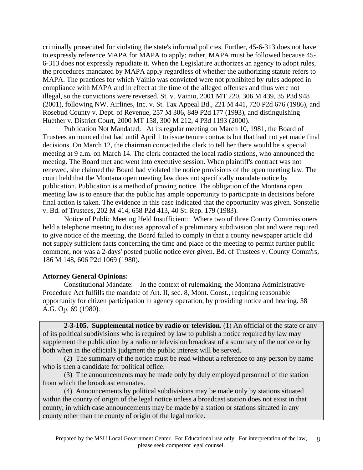criminally prosecuted for violating the state's informal policies. Further, 45-6-313 does not have to expressly reference MAPA for MAPA to apply; rather, MAPA must be followed because 45- 6-313 does not expressly repudiate it. When the Legislature authorizes an agency to adopt rules, the procedures mandated by MAPA apply regardless of whether the authorizing statute refers to MAPA. The practices for which Vainio was convicted were not prohibited by rules adopted in compliance with MAPA and in effect at the time of the alleged offenses and thus were not illegal, so the convictions were reversed. St. v. Vainio, 2001 MT 220, 306 M 439, 35 P3d 948 (2001), following NW. Airlines, Inc. v. St. Tax Appeal Bd., 221 M 441, 720 P2d 676 (1986), and Rosebud County v. Dept. of Revenue, 257 M 306, 849 P2d 177 (1993), and distinguishing Huether v. District Court, 2000 MT 158, 300 M 212, 4 P3d 1193 (2000).

 Publication Not Mandated: At its regular meeting on March 10, 1981, the Board of Trustees announced that had until April 1 to issue tenure contracts but that had not yet made final decisions. On March 12, the chairman contacted the clerk to tell her there would be a special meeting at 9 a.m. on March 14. The clerk contacted the local radio stations, who announced the meeting. The Board met and went into executive session. When plaintiff's contract was not renewed, she claimed the Board had violated the notice provisions of the open meeting law. The court held that the Montana open meeting law does not specifically mandate notice by publication. Publication is a method of proving notice. The obligation of the Montana open meeting law is to ensure that the public has ample opportunity to participate in decisions before final action is taken. The evidence in this case indicated that the opportunity was given. Sonstelie v. Bd. of Trustees, 202 M 414, 658 P2d 413, 40 St. Rep. 179 (1983).

 Notice of Public Meeting Held Insufficient: Where two of three County Commissioners held a telephone meeting to discuss approval of a preliminary subdivision plat and were required to give notice of the meeting, the Board failed to comply in that a county newspaper article did not supply sufficient facts concerning the time and place of the meeting to permit further public comment, nor was a 2-days' posted public notice ever given. Bd. of Trustees v. County Comm'rs, 186 M 148, 606 P2d 1069 (1980).

# **Attorney General Opinions:**

 Constitutional Mandate: In the context of rulemaking, the Montana Administrative Procedure Act fulfills the mandate of Art. II, sec. 8, Mont. Const., requiring reasonable opportunity for citizen participation in agency operation, by providing notice and hearing. 38 A.G. Op. 69 (1980).

**2-3-105. Supplemental notice by radio or television.** (1) An official of the state or any of its political subdivisions who is required by law to publish a notice required by law may supplement the publication by a radio or television broadcast of a summary of the notice or by both when in the official's judgment the public interest will be served.

 (2) The summary of the notice must be read without a reference to any person by name who is then a candidate for political office.

 (3) The announcements may be made only by duly employed personnel of the station from which the broadcast emanates.

 (4) Announcements by political subdivisions may be made only by stations situated within the county of origin of the legal notice unless a broadcast station does not exist in that county, in which case announcements may be made by a station or stations situated in any county other than the county of origin of the legal notice.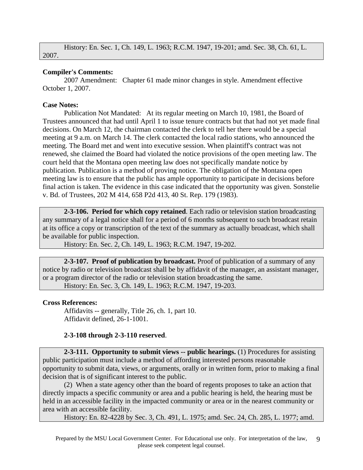History: En. Sec. 1, Ch. 149, L. 1963; R.C.M. 1947, 19-201; amd. Sec. 38, Ch. 61, L. 2007.

### **Compiler's Comments:**

 2007 Amendment: Chapter 61 made minor changes in style. Amendment effective October 1, 2007.

### **Case Notes:**

 Publication Not Mandated: At its regular meeting on March 10, 1981, the Board of Trustees announced that had until April 1 to issue tenure contracts but that had not yet made final decisions. On March 12, the chairman contacted the clerk to tell her there would be a special meeting at 9 a.m. on March 14. The clerk contacted the local radio stations, who announced the meeting. The Board met and went into executive session. When plaintiff's contract was not renewed, she claimed the Board had violated the notice provisions of the open meeting law. The court held that the Montana open meeting law does not specifically mandate notice by publication. Publication is a method of proving notice. The obligation of the Montana open meeting law is to ensure that the public has ample opportunity to participate in decisions before final action is taken. The evidence in this case indicated that the opportunity was given. Sonstelie v. Bd. of Trustees, 202 M 414, 658 P2d 413, 40 St. Rep. 179 (1983).

**2-3-106. Period for which copy retained**. Each radio or television station broadcasting any summary of a legal notice shall for a period of 6 months subsequent to such broadcast retain at its office a copy or transcription of the text of the summary as actually broadcast, which shall be available for public inspection.

History: En. Sec. 2, Ch. 149, L. 1963; R.C.M. 1947, 19-202.

**2-3-107. Proof of publication by broadcast.** Proof of publication of a summary of any notice by radio or television broadcast shall be by affidavit of the manager, an assistant manager, or a program director of the radio or television station broadcasting the same. History: En. Sec. 3, Ch. 149, L. 1963; R.C.M. 1947, 19-203.

# **Cross References:**

 Affidavits -- generally, Title 26, ch. 1, part 10. Affidavit defined, 26-1-1001.

# **2-3-108 through 2-3-110 reserved**.

**2-3-111. Opportunity to submit views -- public hearings.** (1) Procedures for assisting public participation must include a method of affording interested persons reasonable opportunity to submit data, views, or arguments, orally or in written form, prior to making a final decision that is of significant interest to the public.

 (2) When a state agency other than the board of regents proposes to take an action that directly impacts a specific community or area and a public hearing is held, the hearing must be held in an accessible facility in the impacted community or area or in the nearest community or area with an accessible facility.

History: En. 82-4228 by Sec. 3, Ch. 491, L. 1975; amd. Sec. 24, Ch. 285, L. 1977; amd.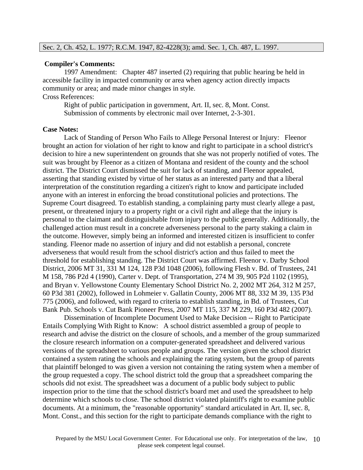#### **Compiler's Comments:**

 1997 Amendment: Chapter 487 inserted (2) requiring that public hearing be held in accessible facility in impacted community or area when agency action directly impacts community or area; and made minor changes in style. Cross References:

 Right of public participation in government, Art. II, sec. 8, Mont. Const. Submission of comments by electronic mail over Internet, 2-3-301.

#### **Case Notes:**

 Lack of Standing of Person Who Fails to Allege Personal Interest or Injury: Fleenor brought an action for violation of her right to know and right to participate in a school district's decision to hire a new superintendent on grounds that she was not properly notified of votes. The suit was brought by Fleenor as a citizen of Montana and resident of the county and the school district. The District Court dismissed the suit for lack of standing, and Fleenor appealed, asserting that standing existed by virtue of her status as an interested party and that a liberal interpretation of the constitution regarding a citizen's right to know and participate included anyone with an interest in enforcing the broad constitutional policies and protections. The Supreme Court disagreed. To establish standing, a complaining party must clearly allege a past, present, or threatened injury to a property right or a civil right and allege that the injury is personal to the claimant and distinguishable from injury to the public generally. Additionally, the challenged action must result in a concrete adverseness personal to the party staking a claim in the outcome. However, simply being an informed and interested citizen is insufficient to confer standing. Fleenor made no assertion of injury and did not establish a personal, concrete adverseness that would result from the school district's action and thus failed to meet the threshold for establishing standing. The District Court was affirmed. Fleenor v. Darby School District, 2006 MT 31, 331 M 124, 128 P3d 1048 (2006), following Flesh v. Bd. of Trustees, 241 M 158, 786 P2d 4 (1990), Carter v. Dept. of Transportation, 274 M 39, 905 P2d 1102 (1995), and Bryan v. Yellowstone County Elementary School District No. 2, 2002 MT 264, 312 M 257, 60 P3d 381 (2002), followed in Lohmeier v. Gallatin County, 2006 MT 88, 332 M 39, 135 P3d 775 (2006), and followed, with regard to criteria to establish standing, in Bd. of Trustees, Cut Bank Pub. Schools v. Cut Bank Pioneer Press, 2007 MT 115, 337 M 229, 160 P3d 482 (2007).

 Dissemination of Incomplete Document Used to Make Decision -- Right to Participate Entails Complying With Right to Know: A school district assembled a group of people to research and advise the district on the closure of schools, and a member of the group summarized the closure research information on a computer-generated spreadsheet and delivered various versions of the spreadsheet to various people and groups. The version given the school district contained a system rating the schools and explaining the rating system, but the group of parents that plaintiff belonged to was given a version not containing the rating system when a member of the group requested a copy. The school district told the group that a spreadsheet comparing the schools did not exist. The spreadsheet was a document of a public body subject to public inspection prior to the time that the school district's board met and used the spreadsheet to help determine which schools to close. The school district violated plaintiff's right to examine public documents. At a minimum, the "reasonable opportunity" standard articulated in Art. II, sec. 8, Mont. Const., and this section for the right to participate demands compliance with the right to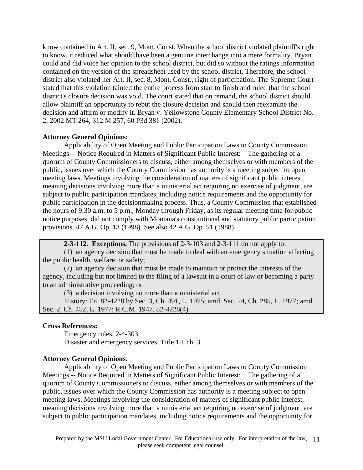know contained in Art. II, sec. 9, Mont. Const. When the school district violated plaintiff's right to know, it reduced what should have been a genuine interchange into a mere formality. Bryan could and did voice her opinion to the school district, but did so without the ratings information contained on the version of the spreadsheet used by the school district. Therefore, the school district also violated her Art. II, sec. 8, Mont. Const., right of participation. The Supreme Court stated that this violation tainted the entire process from start to finish and ruled that the school district's closure decision was void. The court stated that on remand, the school district should allow plaintiff an opportunity to rebut the closure decision and should then reexamine the decision and affirm or modify it. Bryan v. Yellowstone County Elementary School District No. 2, 2002 MT 264, 312 M 257, 60 P3d 381 (2002).

### **Attorney General Opinions:**

 Applicability of Open Meeting and Public Participation Laws to County Commission Meetings -- Notice Required in Matters of Significant Public Interest: The gathering of a quorum of County Commissioners to discuss, either among themselves or with members of the public, issues over which the County Commission has authority is a meeting subject to open meeting laws. Meetings involving the consideration of matters of significant public interest, meaning decisions involving more than a ministerial act requiring no exercise of judgment, are subject to public participation mandates, including notice requirements and the opportunity for public participation in the decisionmaking process. Thus, a County Commission that established the hours of 9:30 a.m. to 5 p.m., Monday through Friday, as its regular meeting time for public notice purposes, did not comply with Montana's constitutional and statutory public participation provisions. 47 A.G. Op. 13 (1998). See also 42 A.G. Op. 51 (1988).

**2-3-112. Exceptions.** The provisions of 2-3-103 and 2-3-111 do not apply to:

 (1) an agency decision that must be made to deal with an emergency situation affecting the public health, welfare, or safety;

 (2) an agency decision that must be made to maintain or protect the interests of the agency, including but not limited to the filing of a lawsuit in a court of law or becoming a party to an administrative proceeding; or

(3) a decision involving no more than a ministerial act.

 History: En. 82-4228 by Sec. 3, Ch. 491, L. 1975; amd. Sec. 24, Ch. 285, L. 1977; amd. Sec. 2, Ch. 452, L. 1977; R.C.M. 1947, 82-4228(4).

### **Cross References:**

 Emergency rules, 2-4-303. Disaster and emergency services, Title 10, ch. 3.

### **Attorney General Opinions**:

 Applicability of Open Meeting and Public Participation Laws to County Commission Meetings -- Notice Required in Matters of Significant Public Interest: The gathering of a quorum of County Commissioners to discuss, either among themselves or with members of the public, issues over which the County Commission has authority is a meeting subject to open meeting laws. Meetings involving the consideration of matters of significant public interest, meaning decisions involving more than a ministerial act requiring no exercise of judgment, are subject to public participation mandates, including notice requirements and the opportunity for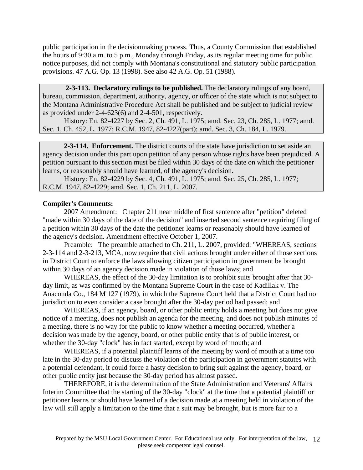public participation in the decisionmaking process. Thus, a County Commission that established the hours of 9:30 a.m. to 5 p.m., Monday through Friday, as its regular meeting time for public notice purposes, did not comply with Montana's constitutional and statutory public participation provisions. 47 A.G. Op. 13 (1998). See also 42 A.G. Op. 51 (1988).

 **2-3-113. Declaratory rulings to be published.** The declaratory rulings of any board, bureau, commission, department, authority, agency, or officer of the state which is not subject to the Montana Administrative Procedure Act shall be published and be subject to judicial review as provided under 2-4-623(6) and 2-4-501, respectively.

 History: En. 82-4227 by Sec. 2, Ch. 491, L. 1975; amd. Sec. 23, Ch. 285, L. 1977; amd. Sec. 1, Ch. 452, L. 1977; R.C.M. 1947, 82-4227(part); amd. Sec. 3, Ch. 184, L. 1979.

**2-3-114. Enforcement.** The district courts of the state have jurisdiction to set aside an agency decision under this part upon petition of any person whose rights have been prejudiced. A petition pursuant to this section must be filed within 30 days of the date on which the petitioner learns, or reasonably should have learned, of the agency's decision.

 History: En. 82-4229 by Sec. 4, Ch. 491, L. 1975; amd. Sec. 25, Ch. 285, L. 1977; R.C.M. 1947, 82-4229; amd. Sec. 1, Ch. 211, L. 2007.

### **Compiler's Comments:**

 2007 Amendment: Chapter 211 near middle of first sentence after "petition" deleted "made within 30 days of the date of the decision" and inserted second sentence requiring filing of a petition within 30 days of the date the petitioner learns or reasonably should have learned of the agency's decision. Amendment effective October 1, 2007.

 Preamble: The preamble attached to Ch. 211, L. 2007, provided: "WHEREAS, sections 2-3-114 and 2-3-213, MCA, now require that civil actions brought under either of those sections in District Court to enforce the laws allowing citizen participation in government be brought within 30 days of an agency decision made in violation of those laws; and

 WHEREAS, the effect of the 30-day limitation is to prohibit suits brought after that 30 day limit, as was confirmed by the Montana Supreme Court in the case of Kadillak v. The Anaconda Co., 184 M 127 (1979), in which the Supreme Court held that a District Court had no jurisdiction to even consider a case brought after the 30-day period had passed; and

 WHEREAS, if an agency, board, or other public entity holds a meeting but does not give notice of a meeting, does not publish an agenda for the meeting, and does not publish minutes of a meeting, there is no way for the public to know whether a meeting occurred, whether a decision was made by the agency, board, or other public entity that is of public interest, or whether the 30-day "clock" has in fact started, except by word of mouth; and

 WHEREAS, if a potential plaintiff learns of the meeting by word of mouth at a time too late in the 30-day period to discuss the violation of the participation in government statutes with a potential defendant, it could force a hasty decision to bring suit against the agency, board, or other public entity just because the 30-day period has almost passed.

 THEREFORE, it is the determination of the State Administration and Veterans' Affairs Interim Committee that the starting of the 30-day "clock" at the time that a potential plaintiff or petitioner learns or should have learned of a decision made at a meeting held in violation of the law will still apply a limitation to the time that a suit may be brought, but is more fair to a